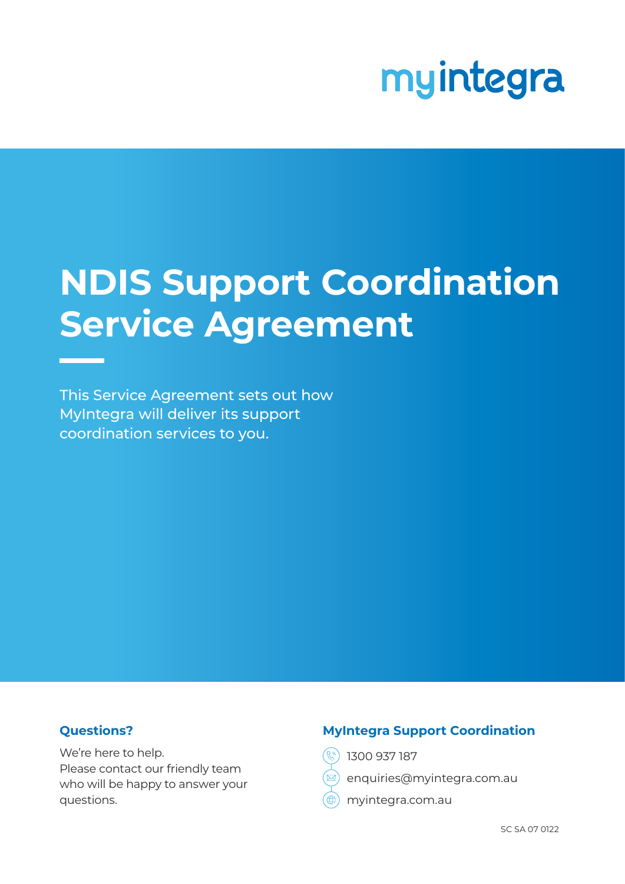# myintegra

## **NDIS Support Coordination Service Agreement**

This Service Agreement sets out how MyIntegra will deliver its support coordination services to you.

#### **Questions?**

We're here to help. Please contact our friendly team who will be happy to answer your questions.

#### **MyIntegra Support Coordination**

- 1300 937 187
- enquiries@myintegra.com.au
- myintegra.com.au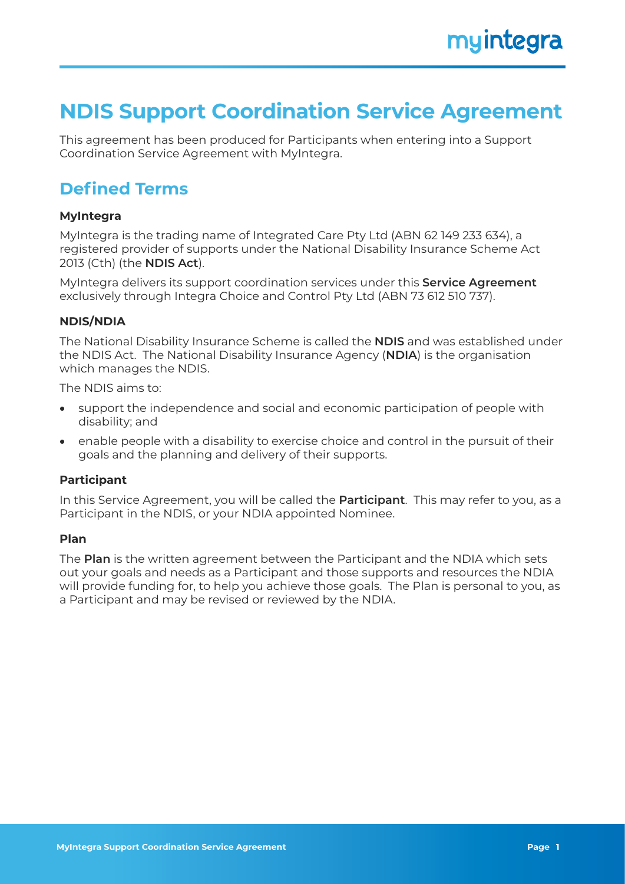## **NDIS Support Coordination Service Agreement**

This agreement has been produced for Participants when entering into a Support Coordination Service Agreement with MyIntegra.

## **Defined Terms**

#### **MyIntegra**

MyIntegra is the trading name of Integrated Care Pty Ltd (ABN 62 149 233 634), a registered provider of supports under the National Disability Insurance Scheme Act 2013 (Cth) (the **NDIS Act**).

MyIntegra delivers its support coordination services under this **Service Agreement** exclusively through Integra Choice and Control Pty Ltd (ABN 73 612 510 737).

#### **NDIS/NDIA**

The National Disability Insurance Scheme is called the **NDIS** and was established under the NDIS Act. The National Disability Insurance Agency (**NDIA**) is the organisation which manages the NDIS.

The NDIS aims to:

- support the independence and social and economic participation of people with disability; and
- enable people with a disability to exercise choice and control in the pursuit of their goals and the planning and delivery of their supports.

#### **Participant**

In this Service Agreement, you will be called the **Participant**. This may refer to you, as a Participant in the NDIS, or your NDIA appointed Nominee.

#### **Plan**

The **Plan** is the written agreement between the Participant and the NDIA which sets out your goals and needs as a Participant and those supports and resources the NDIA will provide funding for, to help you achieve those goals. The Plan is personal to you, as a Participant and may be revised or reviewed by the NDIA.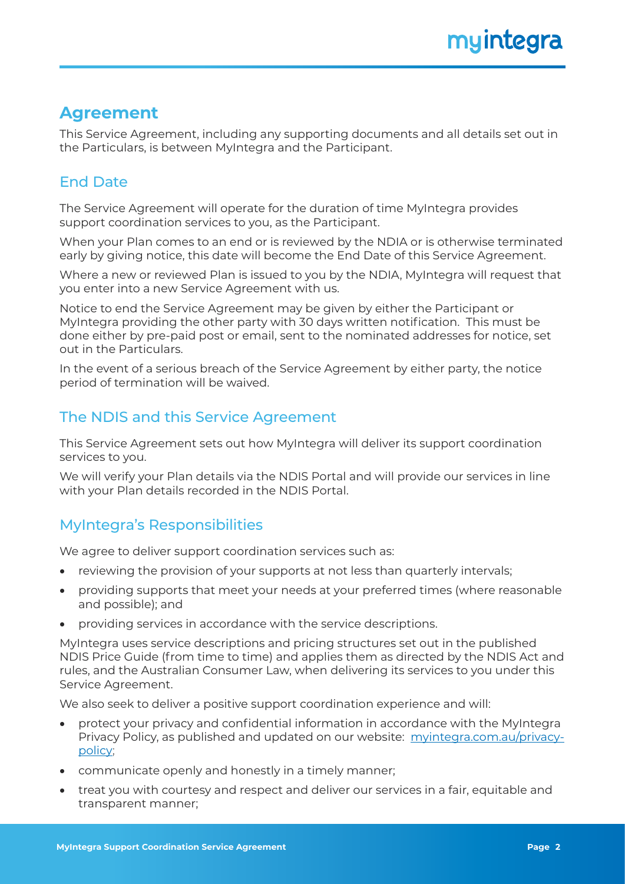## **Agreement**

This Service Agreement, including any supporting documents and all details set out in the Particulars, is between MyIntegra and the Participant.

## End Date

The Service Agreement will operate for the duration of time MyIntegra provides support coordination services to you, as the Participant.

When your Plan comes to an end or is reviewed by the NDIA or is otherwise terminated early by giving notice, this date will become the End Date of this Service Agreement.

Where a new or reviewed Plan is issued to you by the NDIA, MyIntegra will request that you enter into a new Service Agreement with us.

Notice to end the Service Agreement may be given by either the Participant or MyIntegra providing the other party with 30 days written notification. This must be done either by pre-paid post or email, sent to the nominated addresses for notice, set out in the Particulars.

In the event of a serious breach of the Service Agreement by either party, the notice period of termination will be waived.

## The NDIS and this Service Agreement

This Service Agreement sets out how MyIntegra will deliver its support coordination services to you.

We will verify your Plan details via the NDIS Portal and will provide our services in line with your Plan details recorded in the NDIS Portal.

## MyIntegra's Responsibilities

We agree to deliver support coordination services such as:

- reviewing the provision of your supports at not less than quarterly intervals;
- providing supports that meet your needs at your preferred times (where reasonable and possible); and
- providing services in accordance with the service descriptions.

MyIntegra uses service descriptions and pricing structures set out in the published NDIS Price Guide (from time to time) and applies them as directed by the NDIS Act and rules, and the Australian Consumer Law, when delivering its services to you under this Service Agreement.

We also seek to deliver a positive support coordination experience and will:

- protect your privacy and confidential information in accordance with the MyIntegra Privacy Policy, as published and updated on our website: [myintegra.com.au/privacy](https://myintegra.com.au/privacy-policy)[policy](https://myintegra.com.au/privacy-policy);
- communicate openly and honestly in a timely manner;
- treat you with courtesy and respect and deliver our services in a fair, equitable and transparent manner;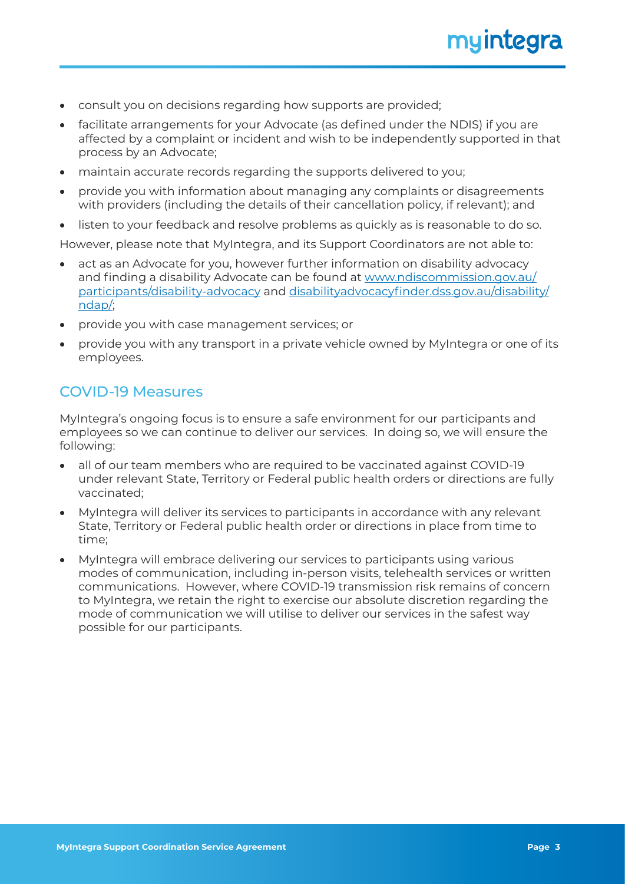- consult you on decisions regarding how supports are provided;
- facilitate arrangements for your Advocate (as defined under the NDIS) if you are affected by a complaint or incident and wish to be independently supported in that process by an Advocate;
- maintain accurate records regarding the supports delivered to you;
- provide you with information about managing any complaints or disagreements with providers (including the details of their cancellation policy, if relevant); and
- listen to your feedback and resolve problems as quickly as is reasonable to do so.

However, please note that MyIntegra, and its Support Coordinators are not able to:

- act as an Advocate for you, however further information on disability advocacy and finding a disability Advocate can be found at [www.ndiscommission.gov.au/](https://www.ndiscommission.gov.au/participants/disability-advocacy) [participants/disability-advocacy](https://www.ndiscommission.gov.au/participants/disability-advocacy) and [disabilityadvocacyfinder.dss.gov.au/disability/](http://disabilityadvocacyfinder.dss.gov.au/disability/ndap/) [ndap/](http://disabilityadvocacyfinder.dss.gov.au/disability/ndap/);
- provide you with case management services; or
- provide you with any transport in a private vehicle owned by MyIntegra or one of its employees.

#### COVID-19 Measures

MyIntegra's ongoing focus is to ensure a safe environment for our participants and employees so we can continue to deliver our services. In doing so, we will ensure the following:

- all of our team members who are required to be vaccinated against COVID-19 under relevant State, Territory or Federal public health orders or directions are fully vaccinated;
- MyIntegra will deliver its services to participants in accordance with any relevant State, Territory or Federal public health order or directions in place from time to time;
- MyIntegra will embrace delivering our services to participants using various modes of communication, including in-person visits, telehealth services or written communications. However, where COVID-19 transmission risk remains of concern to MyIntegra, we retain the right to exercise our absolute discretion regarding the mode of communication we will utilise to deliver our services in the safest way possible for our participants.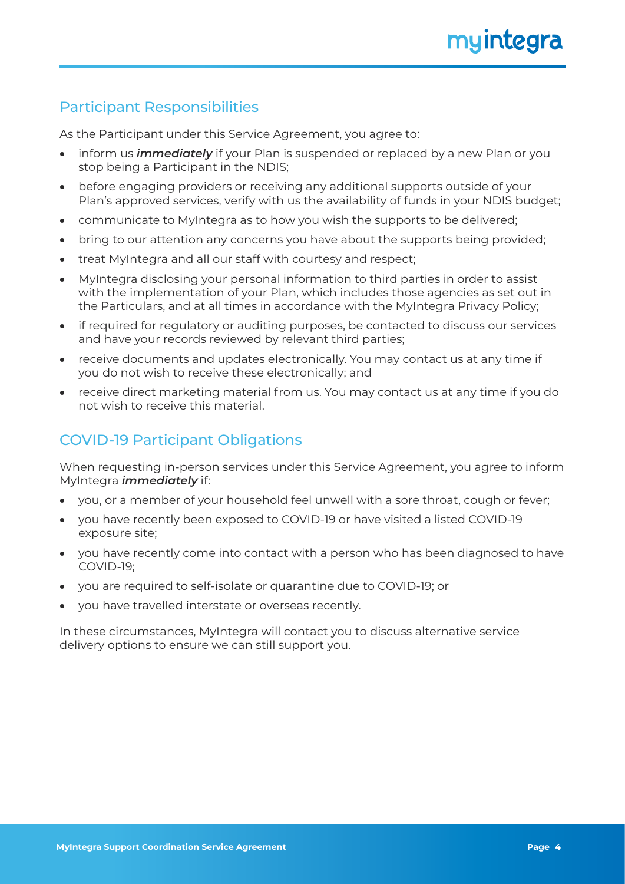## Participant Responsibilities

As the Participant under this Service Agreement, you agree to:

- inform us *immediately* if your Plan is suspended or replaced by a new Plan or you stop being a Participant in the NDIS;
- before engaging providers or receiving any additional supports outside of your Plan's approved services, verify with us the availability of funds in your NDIS budget;
- communicate to MyIntegra as to how you wish the supports to be delivered;
- bring to our attention any concerns you have about the supports being provided;
- treat MyIntegra and all our staff with courtesy and respect;
- MyIntegra disclosing your personal information to third parties in order to assist with the implementation of your Plan, which includes those agencies as set out in the Particulars, and at all times in accordance with the MyIntegra Privacy Policy;
- if required for regulatory or auditing purposes, be contacted to discuss our services and have your records reviewed by relevant third parties;
- receive documents and updates electronically. You may contact us at any time if you do not wish to receive these electronically; and
- receive direct marketing material from us. You may contact us at any time if you do not wish to receive this material.

## COVID-19 Participant Obligations

When requesting in-person services under this Service Agreement, you agree to inform MyIntegra *immediately* if:

- you, or a member of your household feel unwell with a sore throat, cough or fever;
- you have recently been exposed to COVID-19 or have visited a listed COVID-19 exposure site;
- you have recently come into contact with a person who has been diagnosed to have COVID-19;
- you are required to self-isolate or quarantine due to COVID-19; or
- you have travelled interstate or overseas recently.

In these circumstances, MyIntegra will contact you to discuss alternative service delivery options to ensure we can still support you.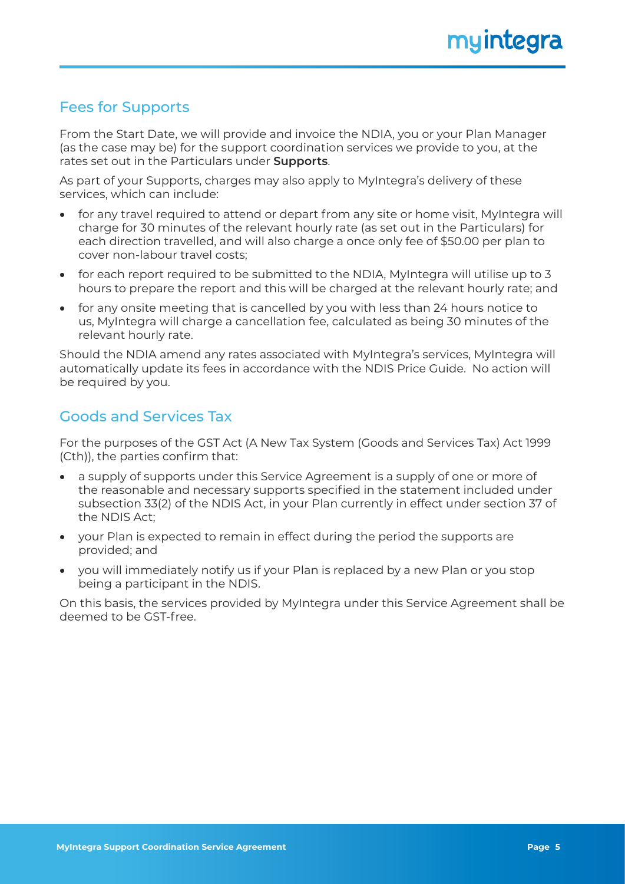## Fees for Supports

From the Start Date, we will provide and invoice the NDIA, you or your Plan Manager (as the case may be) for the support coordination services we provide to you, at the rates set out in the Particulars under **Supports**.

As part of your Supports, charges may also apply to MyIntegra's delivery of these services, which can include:

- for any travel required to attend or depart from any site or home visit, MyIntegra will charge for 30 minutes of the relevant hourly rate (as set out in the Particulars) for each direction travelled, and will also charge a once only fee of \$50.00 per plan to cover non-labour travel costs;
- for each report required to be submitted to the NDIA, MyIntegra will utilise up to 3 hours to prepare the report and this will be charged at the relevant hourly rate; and
- for any onsite meeting that is cancelled by you with less than 24 hours notice to us, MyIntegra will charge a cancellation fee, calculated as being 30 minutes of the relevant hourly rate.

Should the NDIA amend any rates associated with MyIntegra's services, MyIntegra will automatically update its fees in accordance with the NDIS Price Guide. No action will be required by you.

## Goods and Services Tax

For the purposes of the GST Act (A New Tax System (Goods and Services Tax) Act 1999 (Cth)), the parties confirm that:

- a supply of supports under this Service Agreement is a supply of one or more of the reasonable and necessary supports specified in the statement included under subsection 33(2) of the NDIS Act, in your Plan currently in effect under section 37 of the NDIS Act;
- your Plan is expected to remain in effect during the period the supports are provided; and
- you will immediately notify us if your Plan is replaced by a new Plan or you stop being a participant in the NDIS.

On this basis, the services provided by MyIntegra under this Service Agreement shall be deemed to be GST-free.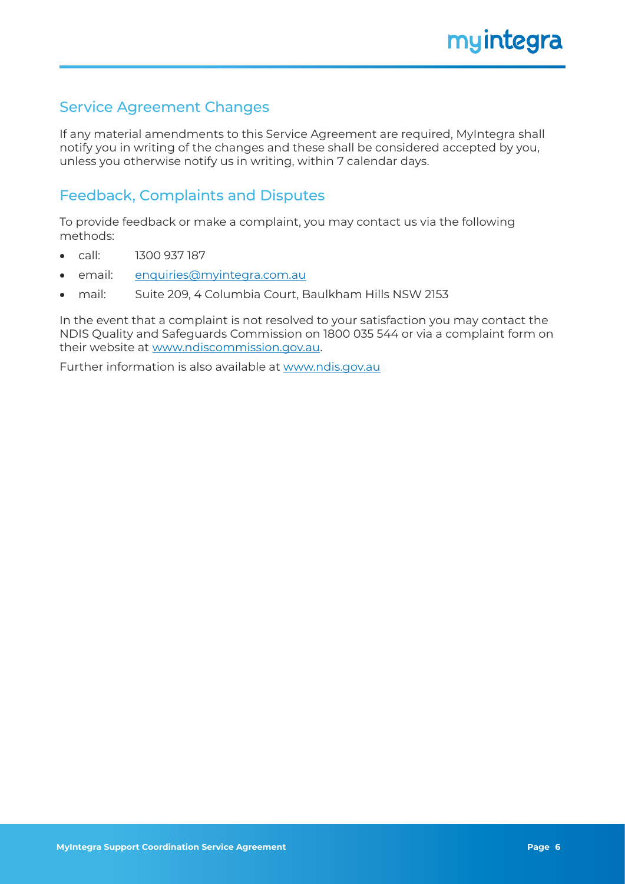## Service Agreement Changes

If any material amendments to this Service Agreement are required, MyIntegra shall notify you in writing of the changes and these shall be considered accepted by you, unless you otherwise notify us in writing, within 7 calendar days.

## Feedback, Complaints and Disputes

To provide feedback or make a complaint, you may contact us via the following methods:

- call: 1300 937 187
- email: enquiries[@myintegra.com.au](mailto:enquiries%40myintegra.com.au?subject=)
- mail: Suite 209, 4 Columbia Court, Baulkham Hills NSW 2153

In the event that a complaint is not resolved to your satisfaction you may contact the NDIS Quality and Safeguards Commission on 1800 035 544 or via a complaint form on their website at [www.ndiscommission.gov.au.](https://www.ndiscommission.gov.au/)

Further information is also available at [www.ndis.gov.au](https://www.ndis.gov.au/)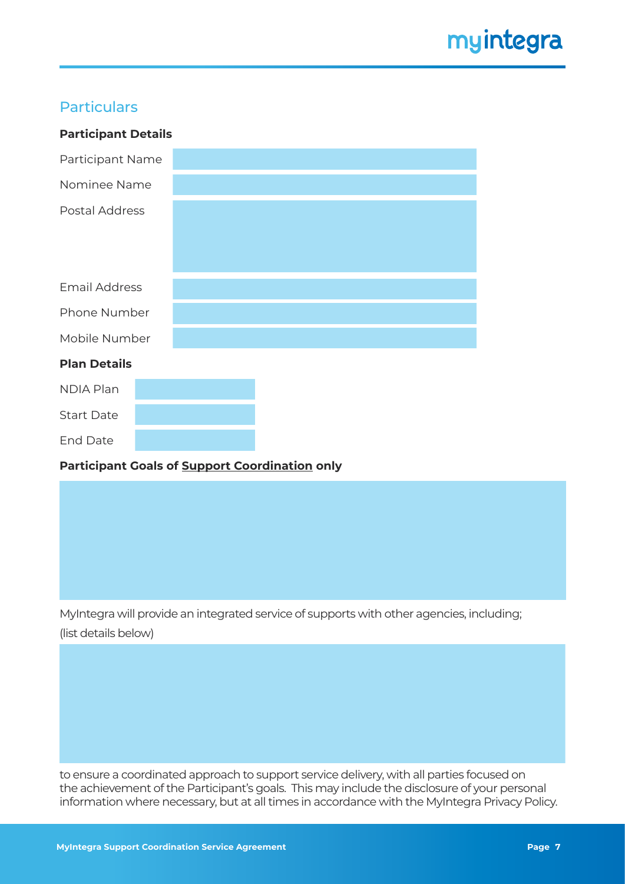## **Particulars**

| <b>Participant Details</b>                            |  |  |  |
|-------------------------------------------------------|--|--|--|
| Participant Name                                      |  |  |  |
| Nominee Name                                          |  |  |  |
| Postal Address                                        |  |  |  |
|                                                       |  |  |  |
|                                                       |  |  |  |
| <b>Email Address</b>                                  |  |  |  |
| Phone Number                                          |  |  |  |
| Mobile Number                                         |  |  |  |
| <b>Plan Details</b>                                   |  |  |  |
| <b>NDIA Plan</b>                                      |  |  |  |
| <b>Start Date</b>                                     |  |  |  |
| <b>End Date</b>                                       |  |  |  |
| <b>Participant Goals of Support Coordination only</b> |  |  |  |

MyIntegra will provide an integrated service of supports with other agencies, including; (list details below)

to ensure a coordinated approach to support service delivery, with all parties focused on the achievement of the Participant's goals. This may include the disclosure of your personal information where necessary, but at all times in accordance with the MyIntegra Privacy Policy.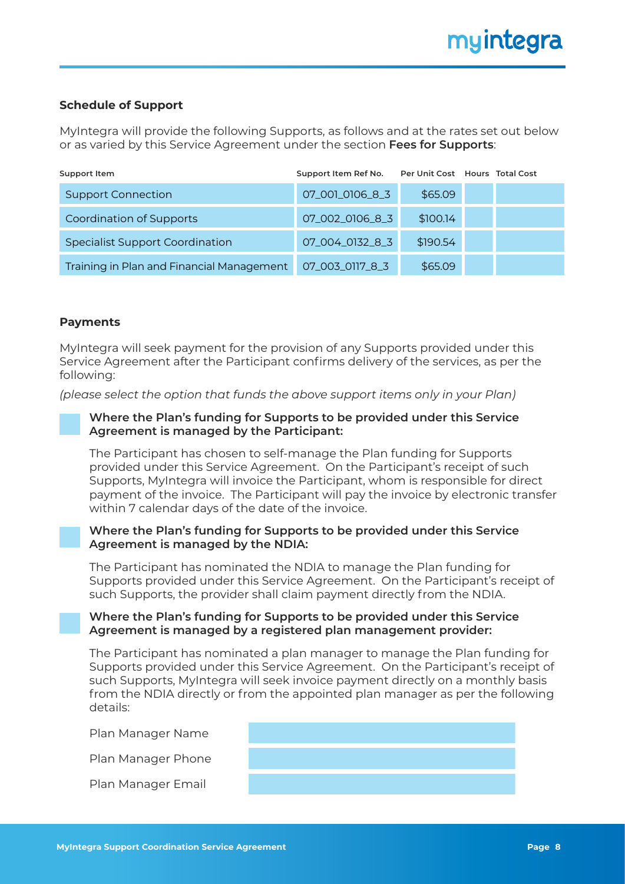#### **Schedule of Support**

MyIntegra will provide the following Supports, as follows and at the rates set out below or as varied by this Service Agreement under the section **Fees for Supports**:

| Support Item                              | Support Item Ref No. |          | Per Unit Cost Hours Total Cost |
|-------------------------------------------|----------------------|----------|--------------------------------|
| <b>Support Connection</b>                 | 07_001_0106_8_3      | \$65.09  |                                |
| <b>Coordination of Supports</b>           | 07_002_0106_8_3      | \$100.14 |                                |
| <b>Specialist Support Coordination</b>    | 07_004_0132_8_3      | \$190.54 |                                |
| Training in Plan and Financial Management | 07_003_0117_8_3      | \$65.09  |                                |

#### **Payments**

MyIntegra will seek payment for the provision of any Supports provided under this Service Agreement after the Participant confirms delivery of the services, as per the following:

*(please select the option that funds the above support items only in your Plan)*

#### **Where the Plan's funding for Supports to be provided under this Service Agreement is managed by the Participant:**

The Participant has chosen to self-manage the Plan funding for Supports provided under this Service Agreement. On the Participant's receipt of such Supports, MyIntegra will invoice the Participant, whom is responsible for direct payment of the invoice. The Participant will pay the invoice by electronic transfer within 7 calendar days of the date of the invoice.

#### **Where the Plan's funding for Supports to be provided under this Service Agreement is managed by the NDIA:**

The Participant has nominated the NDIA to manage the Plan funding for Supports provided under this Service Agreement. On the Participant's receipt of such Supports, the provider shall claim payment directly from the NDIA.

#### **Where the Plan's funding for Supports to be provided under this Service Agreement is managed by a registered plan management provider:**

The Participant has nominated a plan manager to manage the Plan funding for Supports provided under this Service Agreement. On the Participant's receipt of such Supports, MyIntegra will seek invoice payment directly on a monthly basis from the NDIA directly or from the appointed plan manager as per the following details:

Plan Manager Name

Plan Manager Phone

Plan Manager Email

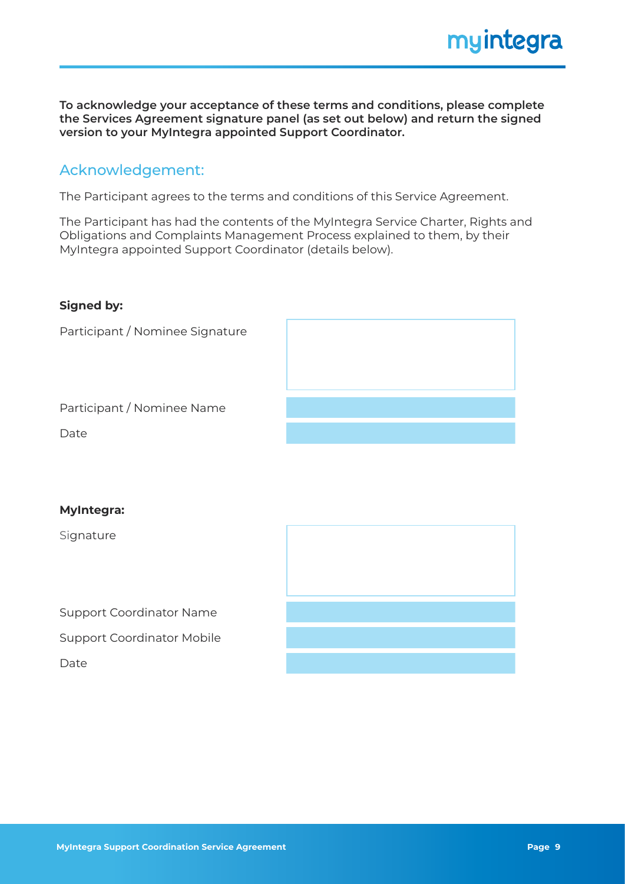**To acknowledge your acceptance of these terms and conditions, please complete the Services Agreement signature panel (as set out below) and return the signed version to your MyIntegra appointed Support Coordinator.**

## Acknowledgement:

The Participant agrees to the terms and conditions of this Service Agreement.

The Participant has had the contents of the MyIntegra Service Charter, Rights and Obligations and Complaints Management Process explained to them, by their MyIntegra appointed Support Coordinator (details below).

#### **Signed by:**

Participant / Nominee Signature



Participant / Nominee Name

Date

#### **MyIntegra:**

Signature

Support Coordinator Name

Support Coordinator Mobile

Date